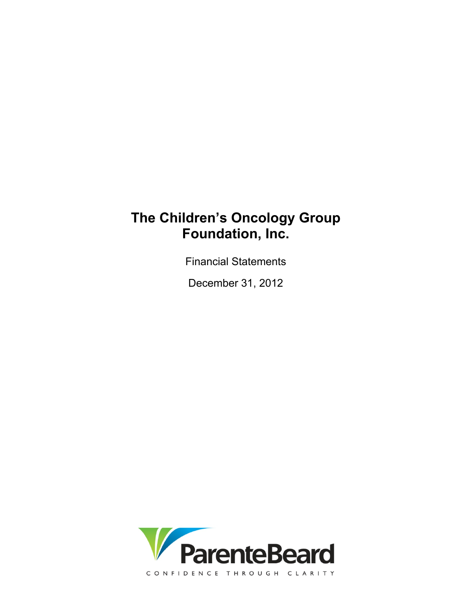Financial Statements

December 31, 2012

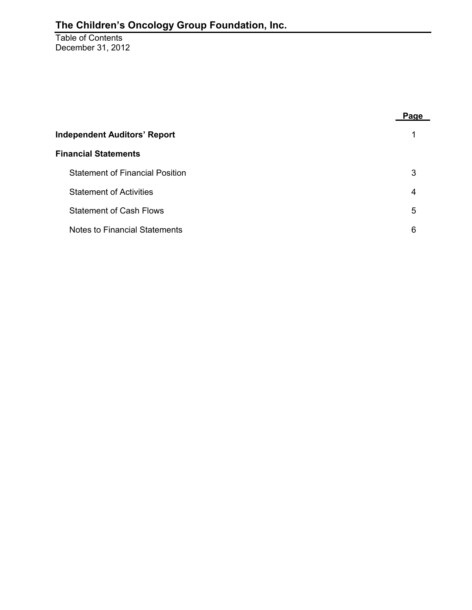Table of Contents December 31, 2012

|                                        | Page |
|----------------------------------------|------|
| <b>Independent Auditors' Report</b>    |      |
| <b>Financial Statements</b>            |      |
| <b>Statement of Financial Position</b> | 3    |
| <b>Statement of Activities</b>         | 4    |
| <b>Statement of Cash Flows</b>         | 5    |
| Notes to Financial Statements          | 6    |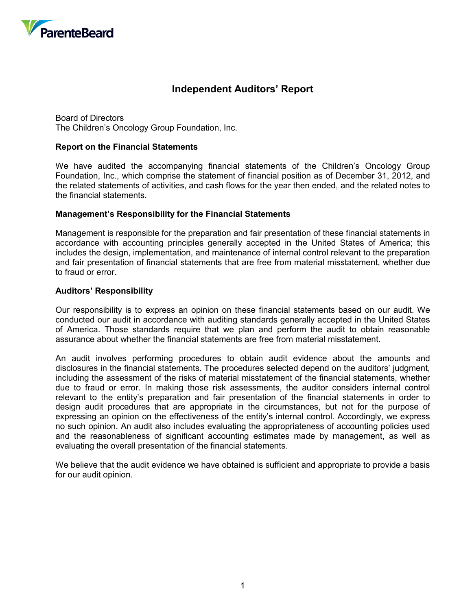

# **Independent Auditors' Report**

Board of Directors The Children's Oncology Group Foundation, Inc.

#### **Report on the Financial Statements**

We have audited the accompanying financial statements of the Children's Oncology Group Foundation, Inc., which comprise the statement of financial position as of December 31, 2012, and the related statements of activities, and cash flows for the year then ended, and the related notes to the financial statements.

#### **Management's Responsibility for the Financial Statements**

Management is responsible for the preparation and fair presentation of these financial statements in accordance with accounting principles generally accepted in the United States of America; this includes the design, implementation, and maintenance of internal control relevant to the preparation and fair presentation of financial statements that are free from material misstatement, whether due to fraud or error.

#### **Auditors' Responsibility**

Our responsibility is to express an opinion on these financial statements based on our audit. We conducted our audit in accordance with auditing standards generally accepted in the United States of America. Those standards require that we plan and perform the audit to obtain reasonable assurance about whether the financial statements are free from material misstatement.

An audit involves performing procedures to obtain audit evidence about the amounts and disclosures in the financial statements. The procedures selected depend on the auditors' judgment, including the assessment of the risks of material misstatement of the financial statements, whether due to fraud or error. In making those risk assessments, the auditor considers internal control relevant to the entity's preparation and fair presentation of the financial statements in order to design audit procedures that are appropriate in the circumstances, but not for the purpose of expressing an opinion on the effectiveness of the entity's internal control. Accordingly, we express no such opinion. An audit also includes evaluating the appropriateness of accounting policies used and the reasonableness of significant accounting estimates made by management, as well as evaluating the overall presentation of the financial statements.

We believe that the audit evidence we have obtained is sufficient and appropriate to provide a basis for our audit opinion.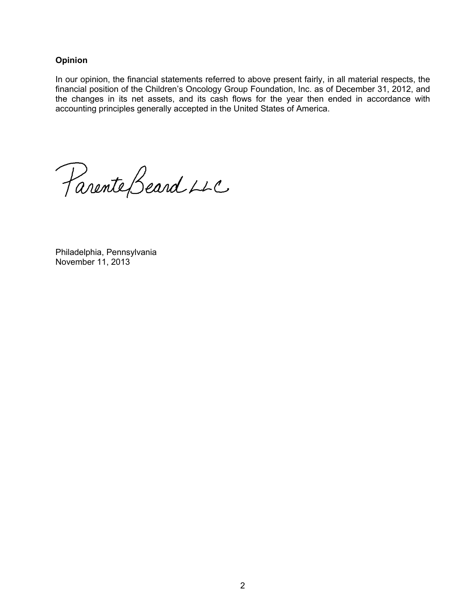### **Opinion**

In our opinion, the financial statements referred to above present fairly, in all material respects, the financial position of the Children's Oncology Group Foundation, Inc. as of December 31, 2012, and the changes in its net assets, and its cash flows for the year then ended in accordance with accounting principles generally accepted in the United States of America.

Parente Beard LLC

Philadelphia, Pennsylvania November 11, 2013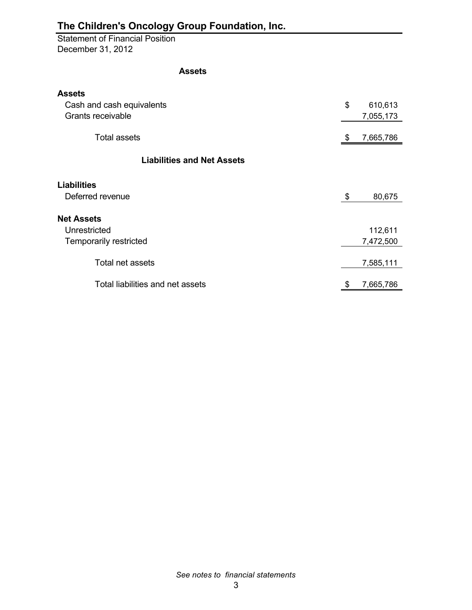Statement of Financial Position December 31, 2012

#### **Assets**

| <b>Assets</b><br>Cash and cash equivalents<br>Grants receivable    | \$<br>610,613<br>7,055,173 |
|--------------------------------------------------------------------|----------------------------|
| <b>Total assets</b>                                                | \$<br>7,665,786            |
| <b>Liabilities and Net Assets</b>                                  |                            |
| <b>Liabilities</b><br>Deferred revenue                             | \$<br>80,675               |
| <b>Net Assets</b><br>Unrestricted<br><b>Temporarily restricted</b> | 112,611<br>7,472,500       |
| Total net assets                                                   | 7,585,111                  |
| Total liabilities and net assets                                   | 7,665,786                  |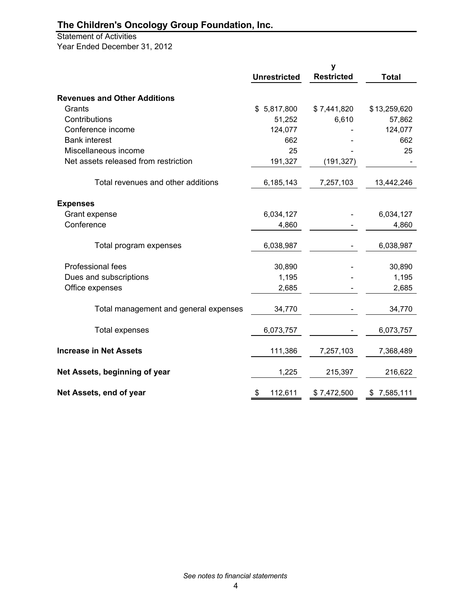#### Statement of Activities Year Ended December 31, 2012

**Unrestricted y Restricted Total Revenues and Other Additions** Grants \$ 5,817,800 \$ 7,441,820 \$ 13,259,620 Contributions 51,252 6,610 57,862 Conference income 2012 124,077 124,077 124,077 Bank interest 662 - 662 - 662 - 662 - 662 - 662 - 662 - 662 - 662 - 662 - 662 - 662 - 662 - 662 - 662 - 662 - Miscellaneous income 25 and 25 and 25 and 25 and 25 and 25 and 25 and 25 and 25 and 25 and 25 and 25 and 25 and 25 and 25 and 25 and 25 and 25 and 25 and 25 and 25 and 25 and 25 and 25 and 25 and 25 and 25 and 25 and 25 an Net assets released from restriction 191,327 (191,327) Total revenues and other additions 6,185,143 7,257,103 13,442,246 **Expenses** Grant expense 6,034,127 6,034,127 6,034,127 Conference 4,860 - 4,860 4,860 Total program expenses 6,038,987 - 6,038,987 Professional fees 30,890 - 30,890 Dues and subscriptions and subscriptions and the set of the set of the set of the set of the set of the set of the set of the set of the set of the set of the set of the set of the set of the set of the set of the set of t Office expenses 2,685 2,685 Total management and general expenses  $34,770$  - 34,770 Total expenses 6,073,757 6,073,757 6,073,757 **Increase in Net Assets** 111,386 7,257,103 7,368,489 **Net Assets, beginning of year** 1,225 215,397 216,622 **Net Assets, end of year 112,611 \$ 7,472,500** \$ 7,585,111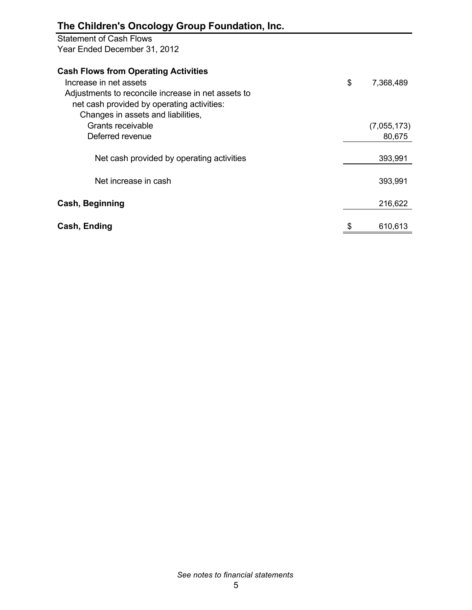| The Children's Oncology Group Foundation, Inc.     |                 |
|----------------------------------------------------|-----------------|
| <b>Statement of Cash Flows</b>                     |                 |
| Year Ended December 31, 2012                       |                 |
| <b>Cash Flows from Operating Activities</b>        |                 |
| Increase in net assets                             | \$<br>7,368,489 |
| Adjustments to reconcile increase in net assets to |                 |
| net cash provided by operating activities:         |                 |
| Changes in assets and liabilities,                 |                 |
| Grants receivable                                  | (7,055,173)     |
| Deferred revenue                                   | 80,675          |
| Net cash provided by operating activities          | 393,991         |
| Net increase in cash                               | 393,991         |
| <b>Cash, Beginning</b>                             | 216,622         |
| Cash, Ending                                       | \$<br>610,613   |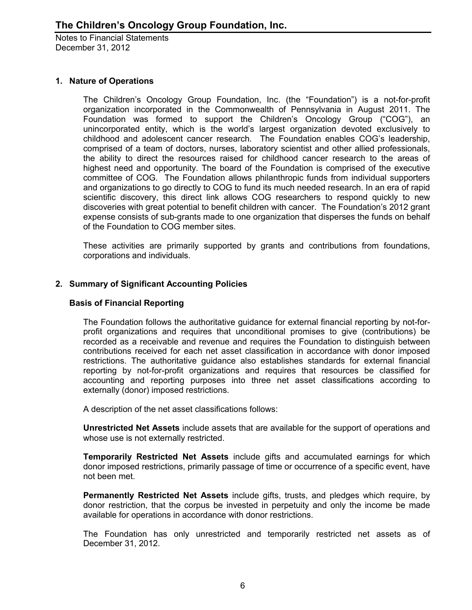Notes to Financial Statements December 31, 2012

## **1. Nature of Operations**

The Children's Oncology Group Foundation, Inc. (the "Foundation") is a not-for-profit organization incorporated in the Commonwealth of Pennsylvania in August 2011. The Foundation was formed to support the Children's Oncology Group ("COG"), an unincorporated entity, which is the world's largest organization devoted exclusively to childhood and adolescent cancer research. The Foundation enables COG's leadership, comprised of a team of doctors, nurses, laboratory scientist and other allied professionals, the ability to direct the resources raised for childhood cancer research to the areas of highest need and opportunity. The board of the Foundation is comprised of the executive committee of COG. The Foundation allows philanthropic funds from individual supporters and organizations to go directly to COG to fund its much needed research. In an era of rapid scientific discovery, this direct link allows COG researchers to respond quickly to new discoveries with great potential to benefit children with cancer. The Foundation's 2012 grant expense consists of sub-grants made to one organization that disperses the funds on behalf of the Foundation to COG member sites.

These activities are primarily supported by grants and contributions from foundations, corporations and individuals.

# **2. Summary of Significant Accounting Policies**

### **Basis of Financial Reporting**

The Foundation follows the authoritative guidance for external financial reporting by not-forprofit organizations and requires that unconditional promises to give (contributions) be recorded as a receivable and revenue and requires the Foundation to distinguish between contributions received for each net asset classification in accordance with donor imposed restrictions. The authoritative guidance also establishes standards for external financial reporting by not-for-profit organizations and requires that resources be classified for accounting and reporting purposes into three net asset classifications according to externally (donor) imposed restrictions.

A description of the net asset classifications follows:

**Unrestricted Net Assets** include assets that are available for the support of operations and whose use is not externally restricted.

**Temporarily Restricted Net Assets** include gifts and accumulated earnings for which donor imposed restrictions, primarily passage of time or occurrence of a specific event, have not been met.

**Permanently Restricted Net Assets** include gifts, trusts, and pledges which require, by donor restriction, that the corpus be invested in perpetuity and only the income be made available for operations in accordance with donor restrictions.

The Foundation has only unrestricted and temporarily restricted net assets as of December 31, 2012.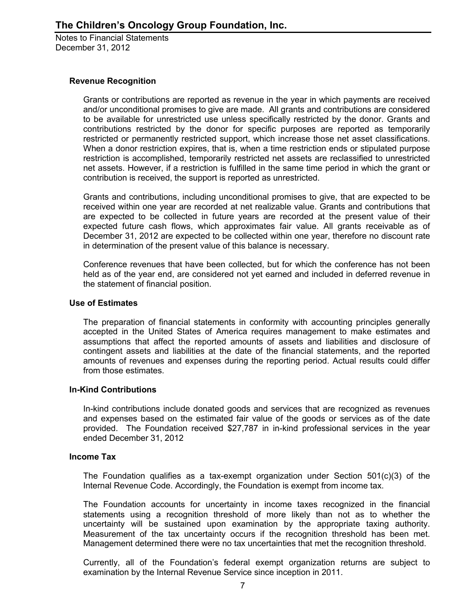Notes to Financial Statements December 31, 2012

## **Revenue Recognition**

Grants or contributions are reported as revenue in the year in which payments are received and/or unconditional promises to give are made. All grants and contributions are considered to be available for unrestricted use unless specifically restricted by the donor. Grants and contributions restricted by the donor for specific purposes are reported as temporarily restricted or permanently restricted support, which increase those net asset classifications. When a donor restriction expires, that is, when a time restriction ends or stipulated purpose restriction is accomplished, temporarily restricted net assets are reclassified to unrestricted net assets. However, if a restriction is fulfilled in the same time period in which the grant or contribution is received, the support is reported as unrestricted.

Grants and contributions, including unconditional promises to give, that are expected to be received within one year are recorded at net realizable value. Grants and contributions that are expected to be collected in future years are recorded at the present value of their expected future cash flows, which approximates fair value. All grants receivable as of December 31, 2012 are expected to be collected within one year, therefore no discount rate in determination of the present value of this balance is necessary.

Conference revenues that have been collected, but for which the conference has not been held as of the year end, are considered not yet earned and included in deferred revenue in the statement of financial position.

### **Use of Estimates**

The preparation of financial statements in conformity with accounting principles generally accepted in the United States of America requires management to make estimates and assumptions that affect the reported amounts of assets and liabilities and disclosure of contingent assets and liabilities at the date of the financial statements, and the reported amounts of revenues and expenses during the reporting period. Actual results could differ from those estimates.

## **In-Kind Contributions**

In-kind contributions include donated goods and services that are recognized as revenues and expenses based on the estimated fair value of the goods or services as of the date provided. The Foundation received \$27,787 in in-kind professional services in the year ended December 31, 2012

#### **Income Tax**

The Foundation qualifies as a tax-exempt organization under Section 501(c)(3) of the Internal Revenue Code. Accordingly, the Foundation is exempt from income tax.

The Foundation accounts for uncertainty in income taxes recognized in the financial statements using a recognition threshold of more likely than not as to whether the uncertainty will be sustained upon examination by the appropriate taxing authority. Measurement of the tax uncertainty occurs if the recognition threshold has been met. Management determined there were no tax uncertainties that met the recognition threshold.

Currently, all of the Foundation's federal exempt organization returns are subject to examination by the Internal Revenue Service since inception in 2011.